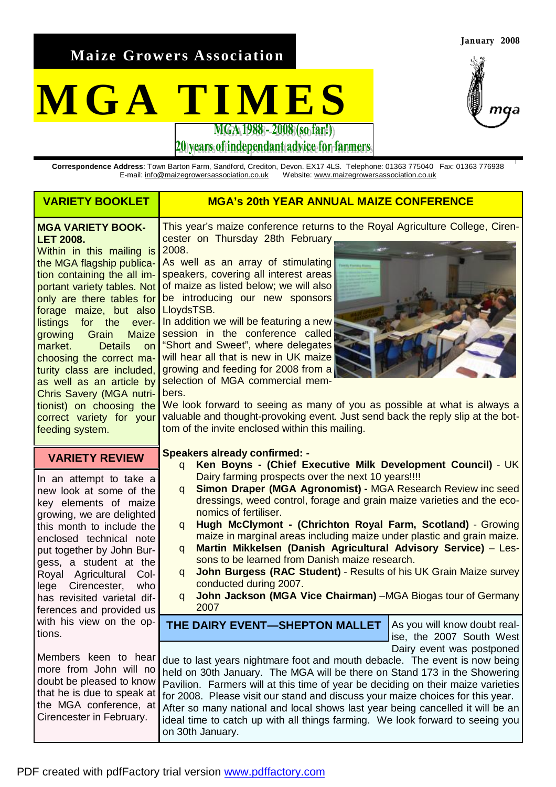**Maize Growers Association** 

# **MGA TIMES**



**January 2008** 

20 years of independant advice for farmers

**Correspondence Address**: Town Barton Farm, Sandford, Crediton, Devon. EX17 4LS. Telephone: 01363 775040 Fax: 01363 776938 Website: [www.maizegrowersassociation.co.uk](http://www.maizegrowersassociation.co.uk)

| <b>VARIETY BOOKLET</b>                                                                                                                                                                                                                                                                                                                                                                                                                                                                                                 | <b>MGA's 20th YEAR ANNUAL MAIZE CONFERENCE</b>                                                                                                                                                                                                                                                                                                                                                                                                                                                                                                                                                                                                                                                                                                                                                        |  |
|------------------------------------------------------------------------------------------------------------------------------------------------------------------------------------------------------------------------------------------------------------------------------------------------------------------------------------------------------------------------------------------------------------------------------------------------------------------------------------------------------------------------|-------------------------------------------------------------------------------------------------------------------------------------------------------------------------------------------------------------------------------------------------------------------------------------------------------------------------------------------------------------------------------------------------------------------------------------------------------------------------------------------------------------------------------------------------------------------------------------------------------------------------------------------------------------------------------------------------------------------------------------------------------------------------------------------------------|--|
| <b>MGA VARIETY BOOK-</b><br><b>LET 2008.</b><br>Within in this mailing is<br>the MGA flagship publica-<br>tion containing the all im-<br>portant variety tables. Not<br>only are there tables for<br>forage maize, but also<br>listings for the ever-<br>Maize<br>growing Grain<br>market.<br><b>Details</b><br>on<br>choosing the correct ma-<br>turity class are included,<br>as well as an article by<br><b>Chris Savery (MGA nutri-</b><br>tionist) on choosing the<br>correct variety for your<br>feeding system. | This year's maize conference returns to the Royal Agriculture College, Ciren-<br>cester on Thursday 28th February,<br>2008.<br>As well as an array of stimulating<br>speakers, covering all interest areas<br>of maize as listed below; we will also<br>be introducing our new sponsors<br>LloydsTSB.<br>In addition we will be featuring a new<br>session in the conference called<br>"Short and Sweet", where delegates<br>will hear all that is new in UK maize<br>growing and feeding for 2008 from a<br>selection of MGA commercial mem-<br>bers.<br>We look forward to seeing as many of you as possible at what is always a<br>valuable and thought-provoking event. Just send back the reply slip at the bot-<br>tom of the invite enclosed within this mailing.                              |  |
| <b>VARIETY REVIEW</b><br>In an attempt to take a<br>new look at some of the<br>key elements of maize<br>growing, we are delighted<br>this month to include the<br>enclosed technical note<br>put together by John Bur-<br>gess, a student at the<br>Royal Agricultural<br>Col-<br>Cirencester,<br>who<br>lege<br>has revisited varietal dif-<br>ferences and provided us                                                                                                                                               | <b>Speakers already confirmed: -</b><br>Ken Boyns - (Chief Executive Milk Development Council) - UK<br>q<br>Dairy farming prospects over the next 10 years!!!!<br>Simon Draper (MGA Agronomist) - MGA Research Review inc seed<br>q<br>dressings, weed control, forage and grain maize varieties and the eco-<br>nomics of fertiliser.<br>Hugh McClymont - (Chrichton Royal Farm, Scotland) - Growing<br>q<br>maize in marginal areas including maize under plastic and grain maize.<br>Martin Mikkelsen (Danish Agricultural Advisory Service) - Les-<br>q<br>sons to be learned from Danish maize research.<br><b>John Burgess (RAC Student) - Results of his UK Grain Maize survey</b><br>q<br>conducted during 2007.<br>John Jackson (MGA Vice Chairman) -MGA Biogas tour of Germany<br>q<br>2007 |  |
| with his view on the op-<br>tions.<br>Members keen to hear<br>more from John will no<br>doubt be pleased to know<br>that he is due to speak at<br>the MGA conference, at<br>Cirencester in February.                                                                                                                                                                                                                                                                                                                   | As you will know doubt real-<br>THE DAIRY EVENT-SHEPTON MALLET<br>ise, the 2007 South West<br>Dairy event was postponed<br>due to last years nightmare foot and mouth debacle. The event is now being<br>held on 30th January. The MGA will be there on Stand 173 in the Showering<br>Pavilion. Farmers will at this time of year be deciding on their maize varieties<br>for 2008. Please visit our stand and discuss your maize choices for this year.<br>After so many national and local shows last year being cancelled it will be an<br>ideal time to catch up with all things farming. We look forward to seeing you<br>on 30th January.                                                                                                                                                       |  |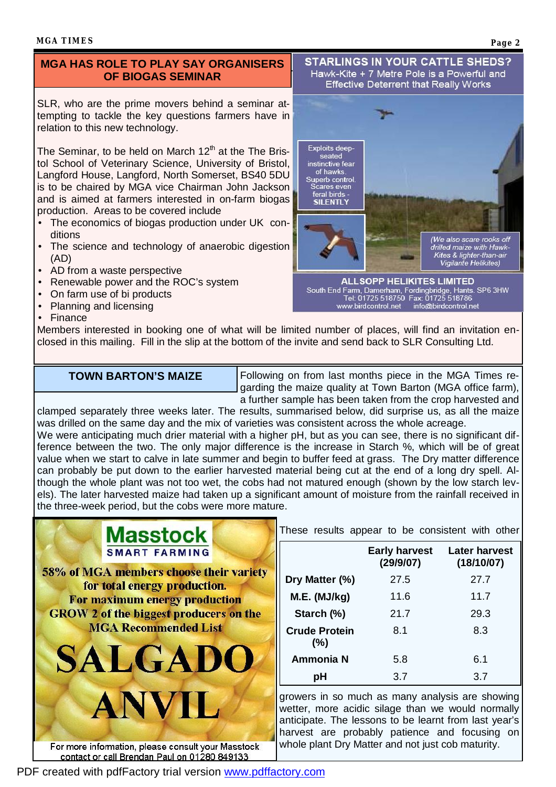## **MGA HAS ROLE TO PLAY SAY ORGANISERS OF BIOGAS SEMINAR**

SLR, who are the prime movers behind a seminar attempting to tackle the key questions farmers have in relation to this new technology.

The Seminar, to be held on March  $12<sup>th</sup>$  at the The Bristol School of Veterinary Science, University of Bristol, Langford House, Langford, North Somerset, BS40 5DU is to be chaired by MGA vice Chairman John Jackson and is aimed at farmers interested in on-farm biogas production. Areas to be covered include

- The economics of biogas production under UK conditions
- The science and technology of anaerobic digestion (AD)
- AD from a waste perspective
- Renewable power and the ROC's system
- On farm use of bi products
- Planning and licensing
- Finance

**Effective Deterrent that Really Works Exploits deep** 

seated instinctive fear of hawks Superb control. Scares even feral birds -**SILENTLY** 

**STARLINGS IN YOUR CATTLE SHEDS?** Hawk-Kite + 7 Metre Pole is a Powerful and

drilled maize with Hawk-<br>Kites & lighter-than-air<br>Vigilante Helikites) **ALLSOPP HELIKITES LIMITED** South End Farm, Damerham, Fordingbridge, Hants. SP6 3HW<br>Tel: 01725 518750 Fax: 01725 518786 www.birdcontrol.net info@birdcontrol.net

(We also scare rooks off

Members interested in booking one of what will be limited number of places, will find an invitation enclosed in this mailing. Fill in the slip at the bottom of the invite and send back to SLR Consulting Ltd.

### **TOWN BARTON'S MAIZE**

Following on from last months piece in the MGA Times regarding the maize quality at Town Barton (MGA office farm), a further sample has been taken from the crop harvested and

clamped separately three weeks later. The results, summarised below, did surprise us, as all the maize was drilled on the same day and the mix of varieties was consistent across the whole acreage. We were anticipating much drier material with a higher pH, but as you can see, there is no significant difference between the two. The only major difference is the increase in Starch %, which will be of great value when we start to calve in late summer and begin to buffer feed at grass. The Dry matter difference can probably be put down to the earlier harvested material being cut at the end of a long dry spell. Although the whole plant was not too wet, the cobs had not matured enough (shown by the low starch levels). The later harvested maize had taken up a significant amount of moisture from the rainfall received in the three-week period, but the cobs were more mature.



For more information, please consult your Masstock contact or call Brendan Paul on 01280 849133

These results appear to be consistent with other

|                                | <b>Early harvest</b><br>(29/9/07) | <b>Later harvest</b><br>(18/10/07) |
|--------------------------------|-----------------------------------|------------------------------------|
| Dry Matter (%)                 | 27.5                              | 27.7                               |
| M.E. (MJ/kg)                   | 11.6                              | 11.7                               |
| Starch (%)                     | 21.7                              | 29.3                               |
| <b>Crude Protein</b><br>$(\%)$ | 8.1                               | 8.3                                |
| <b>Ammonia N</b>               | 5.8                               | 6.1                                |
| рH                             | 3.7                               | 3.7                                |

growers in so much as many analysis are showing wetter, more acidic silage than we would normally anticipate. The lessons to be learnt from last year's harvest are probably patience and focusing on whole plant Dry Matter and not just cob maturity.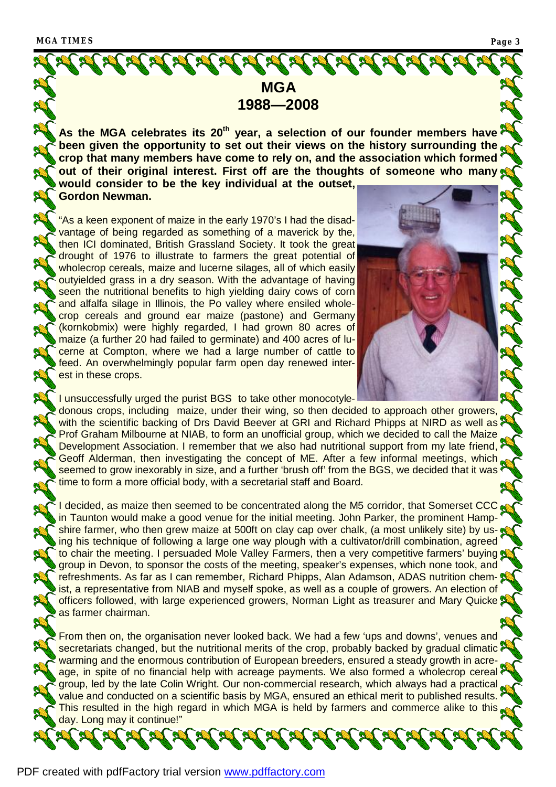

maize (a further 20 had failed to germinate) and 400 acres of lucerne at Compton, where we had a large number of cattle to feed. An overwhelmingly popular farm open day renewed interest in these crops.



I unsuccessfully urged the purist BGS to take other monocotyledonous crops, including maize, under their wing, so then decided to approach other growers, with the scientific backing of Drs David Beever at GRI and Richard Phipps at NIRD as well as Prof Graham Milbourne at NIAB, to form an unofficial group, which we decided to call the Maize Development Association. I remember that we also had nutritional support from my late friend, Geoff Alderman, then investigating the concept of ME. After a few informal meetings, which seemed to grow inexorably in size, and a further 'brush off' from the BGS, we decided that it was time to form a more official body, with a secretarial staff and Board.

I decided, as maize then seemed to be concentrated along the M5 corridor, that Somerset CCC. in Taunton would make a good venue for the initial meeting. John Parker, the prominent Hampshire farmer, who then grew maize at 500ft on clay cap over chalk, (a most unlikely site) by using his technique of following a large one way plough with a cultivator/drill combination, agreed to chair the meeting. I persuaded Mole Valley Farmers, then a very competitive farmers' buying group in Devon, to sponsor the costs of the meeting, speaker's expenses, which none took, and refreshments. As far as I can remember, Richard Phipps, Alan Adamson, ADAS nutrition chemist, a representative from NIAB and myself spoke, as well as a couple of growers. An election of officers followed, with large experienced growers, Norman Light as treasurer and Mary Quicke as farmer chairman.

From then on, the organisation never looked back. We had a few 'ups and downs', venues and secretariats changed, but the nutritional merits of the crop, probably backed by gradual climatic warming and the enormous contribution of European breeders, ensured a steady growth in acreage, in spite of no financial help with acreage payments. We also formed a wholecrop cereal group, led by the late Colin Wright. Our non-commercial research, which always had a practical value and conducted on a scientific basis by MGA, ensured an ethical merit to published results. This resulted in the high regard in which MGA is held by farmers and commerce alike to this day. Long may it continue!"